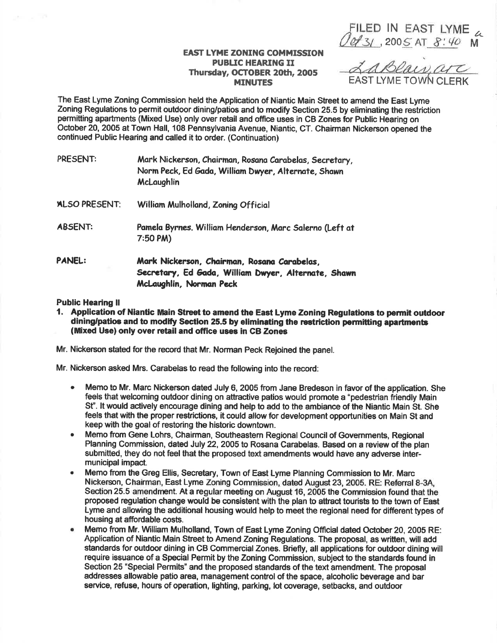FILED IN EAST LYME<br>0431, 2005 AT 8:40 M

## **EAST LYME ZONING COMMISSION PUBLIC HEARING II** Thursday, OCTOBER 20th, 2005 **MINUTES**

LaBlais, are

The East Lyme Zoning Commission held the Application of Niantic Main Street to amend the East Lyme Zoning Regulations to permit outdoor dining/patios and to modify Section 25.5 by eliminating the restriction permitting apartments (Mixed Use) only over retail and office uses in CB Zones for Public Hearing on October 20, 2005 at Town Hall, 108 Pennsylvania Avenue, Niantic, CT. Chairman Nickerson opened the continued Public Hearing and called it to order. (Continuation)

| PRESENT:             | Mark Nickerson, Chairman, Rosana Carabelas, Secretary,<br>Norm Peck, Ed Gada, William Dwyer, Alternate, Shawn<br>McLaughlin   |
|----------------------|-------------------------------------------------------------------------------------------------------------------------------|
| <b>ALSO PRESENT:</b> | William Mulholland, Zoning Official                                                                                           |
| <b>ABSENT:</b>       | Pamela Byrnes. William Henderson, Marc Salerno (Left at<br>7:50 PM                                                            |
| <b>PANEL:</b>        | Mark Nickerson, Chairman, Rosana Carabelas,<br>Secretary, Ed Gada, William Dwyer, Alternate, Shawn<br>McLaughlin, Norman Peck |

## **Public Hearing II**

1. Application of Niantic Main Street to amend the East Lyme Zoning Regulations to permit outdoor dining/patios and to modify Section 25.5 by eliminating the restriction permitting apartments (Mixed Use) only over retail and office uses in CB Zones

Mr. Nickerson stated for the record that Mr. Norman Peck Reioined the panel.

Mr. Nickerson asked Mrs. Carabelas to read the following into the record:

- Memo to Mr. Marc Nickerson dated July 6, 2005 from Jane Bredeson in favor of the application. She  $\bullet$ feels that welcoming outdoor dining on attractive patios would promote a "pedestrian friendly Main St". It would actively encourage dining and help to add to the ambiance of the Niantic Main St. She feels that with the proper restrictions, it could allow for development opportunities on Main St and keep with the goal of restoring the historic downtown.
- Memo from Gene Lohrs, Chairman, Southeastern Regional Council of Governments, Regional  $\bullet$ Planning Commission, dated July 22, 2005 to Rosana Carabelas. Based on a review of the plan submitted, they do not feel that the proposed text amendments would have any adverse intermunicipal impact.
- Memo from the Greg Ellis, Secretary, Town of East Lyme Planning Commission to Mr. Marc  $\bullet$ Nickerson, Chairman, East Lyme Zoning Commission, dated August 23, 2005. RE: Referral 8-3A, Section 25.5 amendment. At a regular meeting on August 16, 2005 the Commission found that the proposed regulation change would be consistent with the plan to attract tourists to the town of East Lyme and allowing the additional housing would help to meet the regional need for different types of housing at affordable costs.
- $\bullet$ Memo from Mr. William Mulholland, Town of East Lyme Zoning Official dated October 20, 2005 RE: Application of Niantic Main Street to Amend Zoning Regulations. The proposal, as written, will add standards for outdoor dining in CB Commercial Zones. Briefly, all applications for outdoor dining will require issuance of a Special Permit by the Zoning Commission, subject to the standards found in Section 25 "Special Permits" and the proposed standards of the text amendment. The proposal addresses allowable patio area, management control of the space, alcoholic beverage and bar service, refuse, hours of operation, lighting, parking, lot coverage, setbacks, and outdoor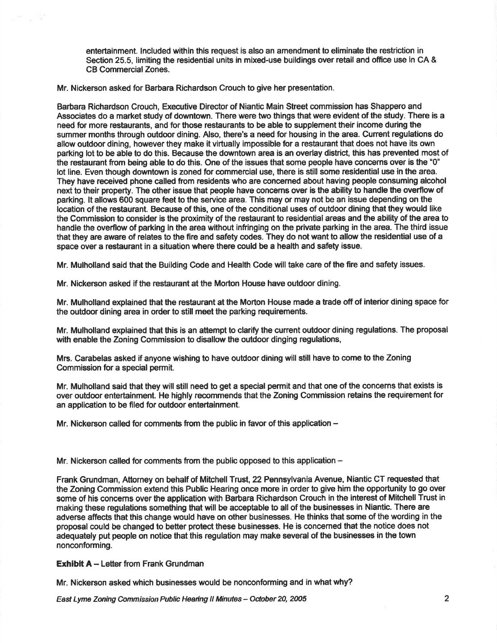entertainment. lncluded within this request is also an amendment to eliminate the restriction in Section 25.5, limiting the residential units in mixed-use buildings over retail and office use in CA & CB Commercial Zones.

Mr. Nickerson asked for Barbara Richardson Crouch to give her presentation.

Barbara Richardson Crouch, Executive Director of Niantic Main Street commission has Shappero and Associates do a market study of downtown. There were two things that were evident of the study. There is a need for more restaurants, and for those restaurants to be able to supplement their income during the summer months through outdoor dining. Also, there's a need for housing in the area. Current regulations do allow outdoor dining, however they make it virtually impossible for a restaurant that does not have its own parking lot to be able to do this. Because the downtown area is an overlay district, this has prevented most of the restaurant from being able to do this. One of the issues that some people have concerns over is the "0" lot line. Even though downtown is zoned for commercial use, there is stlll some residential use in the area. They have received phone called from residents who are concerned about having people consuming alcohol next to their property. The other issue that people have concems over is the ability to handle the overflow of parking. lt allows 600 square feet to the service area. This may or may not be an issue depending on the location of the restaurant. Because of this, one of the conditional uses of outdoor dining that they would like the Commission to consider is the proximity of the restaurant to residential areas and the ability of the area to handle the overflow of parking in the area without infringing on the private parking in the area. The third issue that they are aware of relates to the fire and safety codes. They do not want to allow the residential use of a space over a restaurant in a situation where there could be a health and safety issue.

Mr. Mulholland said that the Building Code and Health Code will take care of the fire and safety issues.

Mr. Nickerson asked if the restaurant at the Morton House have outdoor dining.

Mr. Mulholland explained that the restaurant at the Morton House made a trade off of interior dining space for the outdoor dining area in order to still meet the parking requirements.

Mr. Mulholland explained that this is an attempt to clarify the current outdoor dining regulations. The proposal with enable the Zoning Commission to disallow the outdoor dinging regulations,

Mrs. Carabelas asked if anyone wishing to have outdoor dining will still have to come to the Zoning Commission for a special permit.

Mr. Mulholland said that they will still need to get a special permit and that one of the concems that exists is over outdoor entertainment. He highly recommends that the Zoning Commission retains the requirement for an application to be filed for outdoor entertainment

Mr. Nickerson called for comments from the public in favor of this application  $-$ 

Mr. Nickerson called for comments from the public opposed to this application  $-$ 

Frank Grundman, Attorney on behalf of Mitchell Trust,22 Pennsylvania Avenue, Niantic CT requested that the Zoning Commission extend this Public Hearing once more in order to give him the opportunity to go over some of his concems over the application with Barbara Richardson Crouch in the interest of Mitchell Trust in making these regulations something that will be acceptable to all of the businesses in Niantic. There are adverse affects that this change would have on other businesses. He thinks that some of the wording in the proposal could be changed to better protect these businesses. He is concemed that the notice does not adequately put people on notice that this regulation may make several of the businesses in the town nonconforming.

Exhibit A - Letter from Frank Grundman

Mr. Nickerson asked which businesses would be nonconforming and in what why?

East Lyme Zoning Commission Public Hearing II Minutes - October 20, 2005 2005